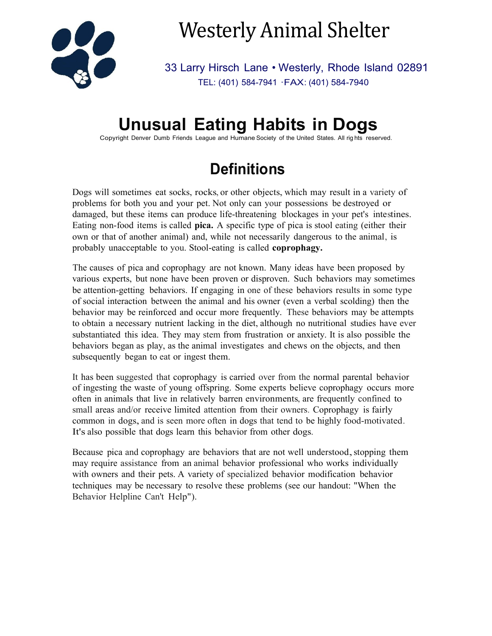

# Westerly Animal Shelter

33 Larry Hirsch Lane • Westerly, Rhode Island 02891 TEL: (401) 584-7941 ·FAX: (401) 584-7940

# **Unusual Eating Habits in Dogs**

Copyright Denver Dumb Friends League and Humane Society of the United States. All rig hts reserved.

### **Definitions**

Dogs will sometimes eat socks, rocks, or other objects, which may result in a variety of problems for both you and your pet. Not only can your possessions be destroyed or damaged, but these items can produce life-threatening blockages in your pet's intestines. Eating non-food items is called **pica.** A specific type of pica is stool eating (either their own or that of another animal) and, while not necessarily dangerous to the animal, is probably unacceptable to you. Stool-eating is called **coprophagy.**

The causes of pica and coprophagy are not known. Many ideas have been proposed by various experts, but none have been proven or disproven. Such behaviors may sometimes be attention-getting behaviors. If engaging in one of these behaviors results in some type of social interaction between the animal and his owner (even a verbal scolding) then the behavior may be reinforced and occur more frequently. These behaviors may be attempts to obtain a necessary nutrient lacking in the diet, although no nutritional studies have ever substantiated this idea. They may stem from frustration or anxiety. It is also possible the behaviors began as play, as the animal investigates and chews on the objects, and then subsequently began to eat or ingest them.

It has been suggested that coprophagy is carried over from the normal parental behavior of ingesting the waste of young offspring. Some experts believe coprophagy occurs more often in animals that live in relatively barren environments, are frequently confined to small areas and/or receive limited attention from their owners. Coprophagy is fairly common in dogs, and is seen more often in dogs that tend to be highly food-motivated. It's also possible that dogs learn this behavior from other dogs.

Because pica and coprophagy are behaviors that are not well understood, stopping them may require assistance from an animal behavior professional who works individually with owners and their pets. A variety of specialized behavior modification behavior techniques may be necessary to resolve these problems (see our handout: "When the Behavior Helpline Can't Help").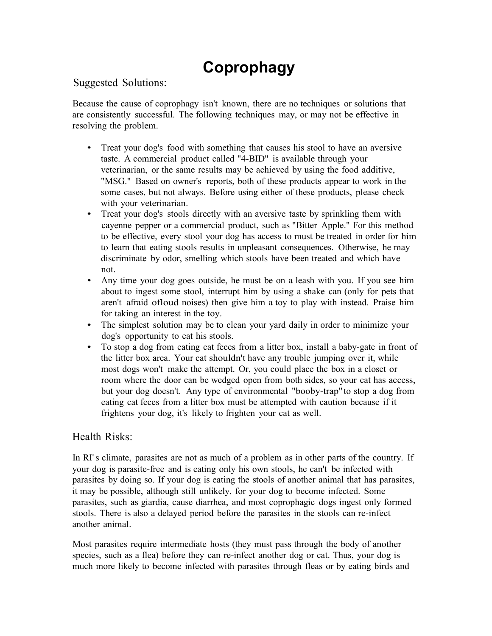## **Coprophagy**

#### Suggested Solutions:

Because the cause of coprophagy isn't known, there are no techniques or solutions that are consistently successful. The following techniques may, or may not be effective in resolving the problem.

- Treat your dog's food with something that causes his stool to have an aversive taste. A commercial product called "4-BID" is available through your veterinarian, or the same results may be achieved by using the food additive, "MSG." Based on owner's reports, both of these products appear to work in the some cases, but not always. Before using either of these products, please check with your veterinarian.
- Treat your dog's stools directly with an aversive taste by sprinkling them with cayenne pepper or a commercial product, such as "Bitter Apple." For this method to be effective, every stool your dog has access to must be treated in order for him to learn that eating stools results in unpleasant consequences. Otherwise, he may discriminate by odor, smelling which stools have been treated and which have not.
- Any time your dog goes outside, he must be on a leash with you. If you see him about to ingest some stool, interrupt him by using a shake can (only for pets that aren't afraid ofloud noises) then give him a toy to play with instead. Praise him for taking an interest in the toy.
- The simplest solution may be to clean your yard daily in order to minimize your dog's opportunity to eat his stools.
- To stop a dog from eating cat feces from a litter box, install a baby-gate in front of the litter box area. Your cat shouldn't have any trouble jumping over it, while most dogs won't make the attempt. Or, you could place the box in a closet or room where the door can be wedged open from both sides, so your cat has access, but your dog doesn't. Any type of environmental "booby-trap" to stop a dog from eating cat feces from a litter box must be attempted with caution because if it frightens your dog, it's likely to frighten your cat as well.

#### Health Risks:

In RI's climate, parasites are not as much of a problem as in other parts of the country. If your dog is parasite-free and is eating only his own stools, he can't be infected with parasites by doing so. If your dog is eating the stools of another animal that has parasites, it may be possible, although still unlikely, for your dog to become infected. Some parasites, such as giardia, cause diarrhea, and most coprophagic dogs ingest only formed stools. There is also a delayed period before the parasites in the stools can re-infect another animal.

Most parasites require intermediate hosts (they must pass through the body of another species, such as a flea) before they can re-infect another dog or cat. Thus, your dog is much more likely to become infected with parasites through fleas or by eating birds and